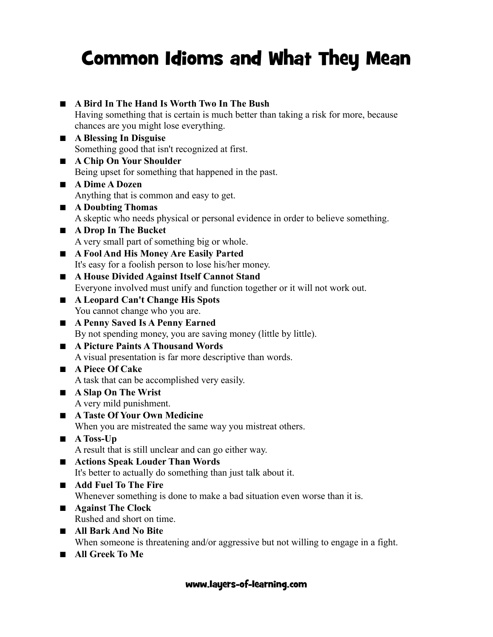| A Bird In The Hand Is Worth Two In The Bush                                          |  |
|--------------------------------------------------------------------------------------|--|
| Having something that is certain is much better than taking a risk for more, because |  |
| chances are you might lose everything.                                               |  |
| A Blessing In Disguise<br>$\blacksquare$                                             |  |
| Something good that isn't recognized at first.                                       |  |
| A Chip On Your Shoulder<br>. .                                                       |  |
| Being upset for something that happened in the past.                                 |  |
| A Dime A Dozen                                                                       |  |
| Anything that is common and easy to get.                                             |  |
| <b>A Doubting Thomas</b>                                                             |  |
| A skeptic who needs physical or personal evidence in order to believe something.     |  |
| A Drop In The Bucket<br>$\blacksquare$                                               |  |
| A very small part of something big or whole.                                         |  |
| A Fool And His Money Are Easily Parted<br>$\blacksquare$                             |  |
| It's easy for a foolish person to lose his/her money.                                |  |
| A House Divided Against Itself Cannot Stand                                          |  |
| Everyone involved must unify and function together or it will not work out.          |  |
| <b>A Leopard Can't Change His Spots</b>                                              |  |
| You cannot change who you are.                                                       |  |
| A Penny Saved Is A Penny Earned                                                      |  |
| By not spending money, you are saving money (little by little).                      |  |
| <b>A Picture Paints A Thousand Words</b><br>$\blacksquare$                           |  |
| A visual presentation is far more descriptive than words.                            |  |
| <b>A Piece Of Cake</b><br>. .                                                        |  |
| A task that can be accomplished very easily.                                         |  |
| A Slap On The Wrist                                                                  |  |
| A very mild punishment.                                                              |  |
| <b>A Taste Of Your Own Medicine</b>                                                  |  |
| When you are mistreated the same way you mistreat others.                            |  |
| A Toss-Up<br>$\blacksquare$                                                          |  |
| A result that is still unclear and can go either way.                                |  |
| <b>Actions Speak Louder Than Words</b>                                               |  |
| It's better to actually do something than just talk about it.                        |  |
| <b>Add Fuel To The Fire</b><br>$\blacksquare$                                        |  |
| Whenever something is done to make a bad situation even worse than it is.            |  |
| <b>Against The Clock</b>                                                             |  |
| Rushed and short on time.                                                            |  |

- **All Bark And No Bite** When someone is threatening and/or aggressive but not willing to engage in a fight.
- **All Greek To Me**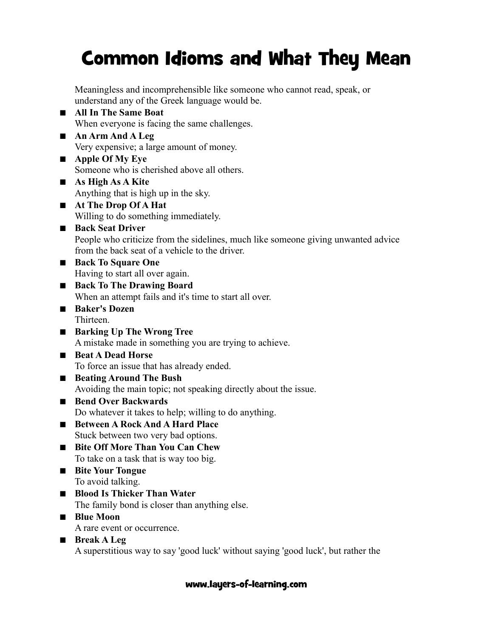Meaningless and incomprehensible like someone who cannot read, speak, or understand any of the Greek language would be.

- **All In The Same Boat** When everyone is facing the same challenges.
- **An Arm And A Leg**  Very expensive; a large amount of money.
- **Apple Of My Eye**  Someone who is cherished above all others.
- **As High As A Kite** Anything that is high up in the sky.
- **At The Drop Of A Hat** Willing to do something immediately.
- **Back Seat Driver** People who criticize from the sidelines, much like someone giving unwanted advice from the back seat of a vehicle to the driver.
- **Back To Square One** Having to start all over again.
- **Back To The Drawing Board**  When an attempt fails and it's time to start all over.
- Baker's Dozen Thirteen.
- **Barking Up The Wrong Tree**  A mistake made in something you are trying to achieve.
- **Beat A Dead Horse** To force an issue that has already ended.
- **Beating Around The Bush** Avoiding the main topic; not speaking directly about the issue.
- Bend Over Backwards Do whatever it takes to help; willing to do anything.
- Between A Rock And A Hard Place Stuck between two very bad options.
- **Bite Off More Than You Can Chew** To take on a task that is way too big.
- **Bite Your Tongue** To avoid talking.
- Blood Is Thicker Than Water The family bond is closer than anything else.
- Blue Moon A rare event or occurrence.
- **Break A Leg** A superstitious way to say 'good luck' without saying 'good luck', but rather the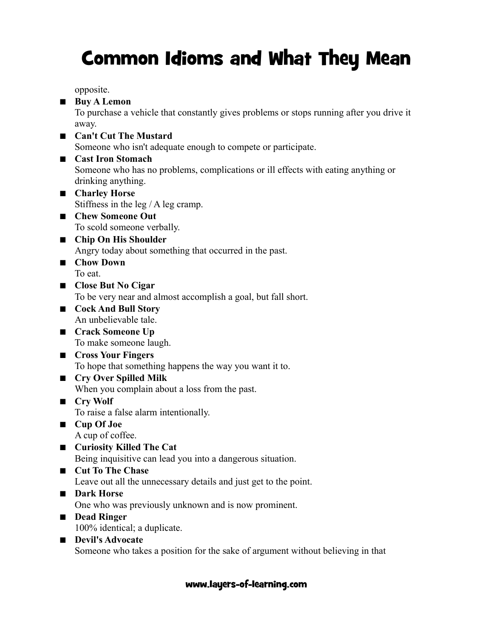opposite.

**Buy A Lemon**

To purchase a vehicle that constantly gives problems or stops running after you drive it away.

- **Can't Cut The Mustard** Someone who isn't adequate enough to compete or participate.
- **Cast Iron Stomach** Someone who has no problems, complications or ill effects with eating anything or drinking anything.
- **Charley Horse** Stiffness in the leg / A leg cramp.
- Chew Someone Out To scold someone verbally.
- **Chip On His Shoulder** Angry today about something that occurred in the past.
- Chow Down To eat.
- **Close But No Cigar**  To be very near and almost accomplish a goal, but fall short.
- Cock And Bull Story An unbelievable tale.
- **Crack Someone Up** To make someone laugh.
- **Cross Your Fingers**  To hope that something happens the way you want it to.
- **Cry Over Spilled Milk** When you complain about a loss from the past.
- Cry Wolf To raise a false alarm intentionally.
- Cup Of Joe A cup of coffee.
- **Curiosity Killed The Cat** Being inquisitive can lead you into a dangerous situation.
- Cut To The Chase Leave out all the unnecessary details and just get to the point.
- **Dark Horse** One who was previously unknown and is now prominent.
- **Dead Ringer** 100% identical; a duplicate.
- **Devil's Advocate** Someone who takes a position for the sake of argument without believing in that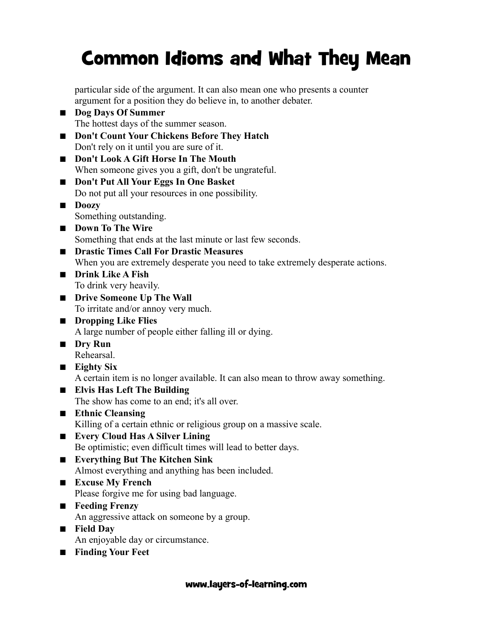particular side of the argument. It can also mean one who presents a counter argument for a position they do believe in, to another debater.

- **Dog Days Of Summer** The hottest days of the summer season.
- **Don't Count Your Chickens Before They Hatch** Don't rely on it until you are sure of it.
- **Don't Look A Gift Horse In The Mouth** When someone gives you a gift, don't be ungrateful.
- **Don't Put All Your Eggs In One Basket**  Do not put all your resources in one possibility.
- **Doozy** Something outstanding.
- **Down To The Wire** Something that ends at the last minute or last few seconds.
- **Drastic Times Call For Drastic Measures** When you are extremely desperate you need to take extremely desperate actions.
- **Drink Like A Fish** To drink very heavily.
- $\blacksquare$  Drive Someone Up The Wall To irritate and/or annoy very much.
- $\blacksquare$  Dropping Like Flies A large number of people either falling ill or dying.
- Dry Run Rehearsal.
- **Eighty Six**

A certain item is no longer available. It can also mean to throw away something.

- **Elvis Has Left The Building** The show has come to an end; it's all over.
- **Ethnic Cleansing** Killing of a certain ethnic or religious group on a massive scale.
- **Every Cloud Has A Silver Lining** Be optimistic; even difficult times will lead to better days.
- **Everything But The Kitchen Sink** Almost everything and anything has been included.
- **Excuse My French** Please forgive me for using bad language.
- **Feeding Frenzy** An aggressive attack on someone by a group.
- **Field Day** An enjoyable day or circumstance.
- **Finding Your Feet**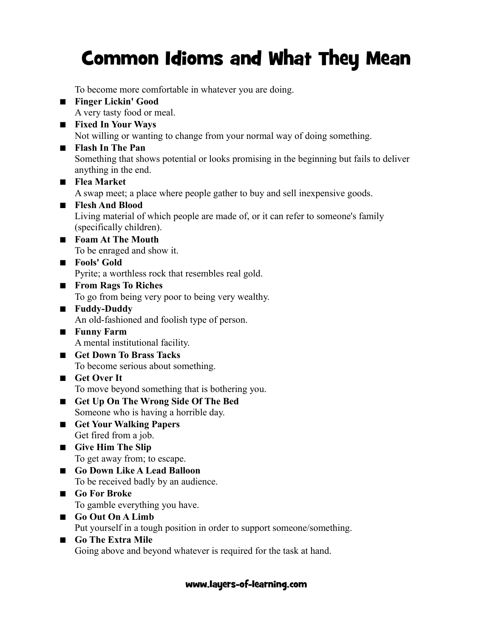To become more comfortable in whatever you are doing.

**Finger Lickin' Good** 

A very tasty food or meal.

- **Fixed In Your Ways** Not willing or wanting to change from your normal way of doing something.
- **Flash In The Pan**

Something that shows potential or looks promising in the beginning but fails to deliver anything in the end.

- **Flea Market** A swap meet; a place where people gather to buy and sell inexpensive goods.
- **Flesh And Blood** Living material of which people are made of, or it can refer to someone's family (specifically children).
- **Foam At The Mouth** To be enraged and show it.

**Fools' Gold** Pyrite; a worthless rock that resembles real gold.

- **Figure 5 From Rags To Riches** To go from being very poor to being very wealthy.
- **Fuddy-Duddy** An old-fashioned and foolish type of person.
- **Funny Farm** A mental institutional facility.
- **Get Down To Brass Tacks**  To become serious about something.
- Get Over It To move beyond something that is bothering you.
- **Get Up On The Wrong Side Of The Bed** Someone who is having a horrible day.
- **Get Your Walking Papers**  Get fired from a job.
- **Give Him The Slip** To get away from; to escape.
- **Go Down Like A Lead Balloon** To be received badly by an audience.
- Go For Broke To gamble everything you have.
- **Go Out On A Limb** Put yourself in a tough position in order to support someone/something. **Go The Extra Mile**
	- Going above and beyond whatever is required for the task at hand.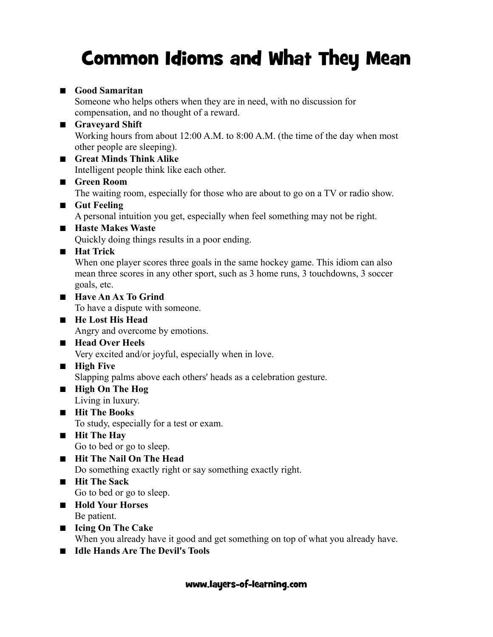### **Good Samaritan**

Someone who helps others when they are in need, with no discussion for compensation, and no thought of a reward.

### **Graveyard Shift**

Working hours from about 12:00 A.M. to 8:00 A.M. (the time of the day when most other people are sleeping).

**Great Minds Think Alike**

Intelligent people think like each other.

#### **Green Room** The waiting room, especially for those who are about to go on a TV or radio show.

**Gut Feeling**

A personal intuition you get, especially when feel something may not be right.

- **Haste Makes Waste**  Quickly doing things results in a poor ending.
- **Hat Trick**

When one player scores three goals in the same hockey game. This idiom can also mean three scores in any other sport, such as 3 home runs, 3 touchdowns, 3 soccer goals, etc.

- **Have An Ax To Grind** To have a dispute with someone.
- **He Lost His Head**  Angry and overcome by emotions.
- Head Over Heels Very excited and/or joyful, especially when in love.
- **High Five**

Slapping palms above each others' heads as a celebration gesture.

- **High On The Hog** Living in luxury.
- **Hit The Books** To study, especially for a test or exam.
- **Hit The Hay** Go to bed or go to sleep.
- **Hit The Nail On The Head** Do something exactly right or say something exactly right.
- **Hit The Sack** Go to bed or go to sleep.
- **Hold Your Horses** Be patient.
- **Icing On The Cake** When you already have it good and get something on top of what you already have.
- Idle Hands Are The Devil's Tools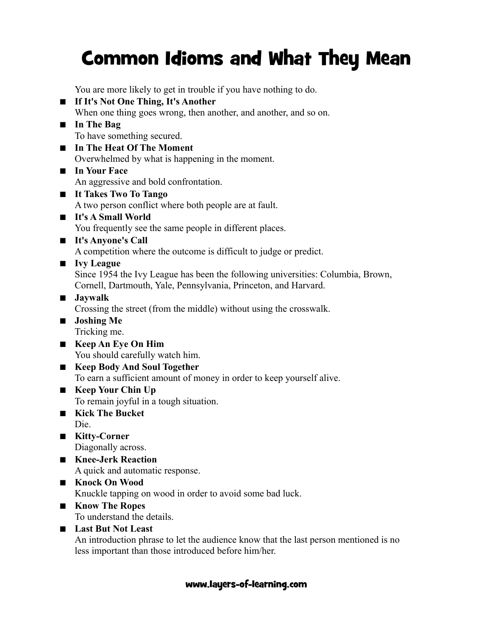You are more likely to get in trouble if you have nothing to do.

- **If It's Not One Thing, It's Another** When one thing goes wrong, then another, and another, and so on. **In The Bag** 
	- To have something secured.
- **In The Heat Of The Moment** 
	- Overwhelmed by what is happening in the moment.
- **In Your Face** An aggressive and bold confrontation.
- **It Takes Two To Tango** A two person conflict where both people are at fault.
- **It's A Small World**  You frequently see the same people in different places.
- **It's Anyone's Call** A competition where the outcome is difficult to judge or predict.
- **IVY** League

Since 1954 the Ivy League has been the following universities: Columbia, Brown, Cornell, Dartmouth, Yale, Pennsylvania, Princeton, and Harvard.

### **Jaywalk**

Crossing the street (from the middle) without using the crosswalk.

- **Joshing Me** Tricking me.
- **Keep An Eye On Him** You should carefully watch him.
- **Keep Body And Soul Together**  To earn a sufficient amount of money in order to keep yourself alive.
- **Keep Your Chin Up** To remain joyful in a tough situation.
- **Kick The Bucket** Die.
- Kitty-Corner Diagonally across.
- Knee-Jerk Reaction A quick and automatic response.
- **Knock On Wood**  Knuckle tapping on wood in order to avoid some bad luck.
- Know The Ropes To understand the details.
- **Last But Not Least**

An introduction phrase to let the audience know that the last person mentioned is no less important than those introduced before him/her.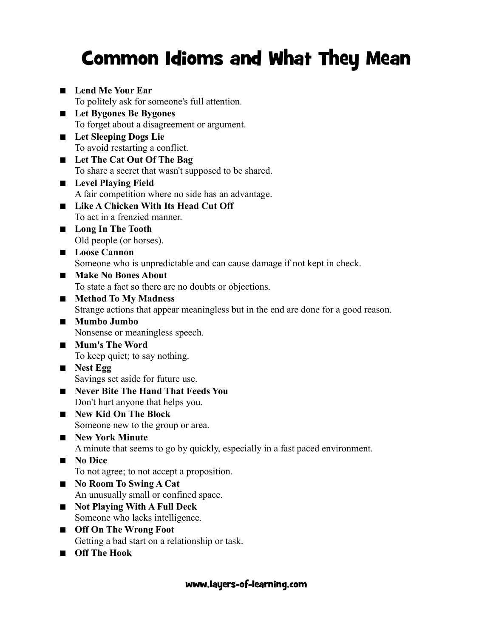- **Lend Me Your Ear** To politely ask for someone's full attention.
- Let Bygones Be Bygones To forget about a disagreement or argument.
- **Let Sleeping Dogs Lie** To avoid restarting a conflict.
- Let The Cat Out Of The Bag To share a secret that wasn't supposed to be shared.
- **Level Playing Field** A fair competition where no side has an advantage.
- Like A Chicken With Its Head Cut Off To act in a frenzied manner.
- **Long In The Tooth**  Old people (or horses).
- Loose Cannon Someone who is unpredictable and can cause damage if not kept in check.
- **Make No Bones About** To state a fact so there are no doubts or objections.
- **Method To My Madness** Strange actions that appear meaningless but in the end are done for a good reason.
- **Mumbo Jumbo** Nonsense or meaningless speech.
- **Mum's The Word** To keep quiet; to say nothing.
- **Nest Egg** Savings set aside for future use.
- **Never Bite The Hand That Feeds You** Don't hurt anyone that helps you.
- New Kid On The Block Someone new to the group or area.
- **New York Minute**

A minute that seems to go by quickly, especially in a fast paced environment.

**No Dice** 

To not agree; to not accept a proposition.

- **No Room To Swing A Cat** An unusually small or confined space.
- **Not Playing With A Full Deck** Someone who lacks intelligence.
- $\blacksquare$  **Off On The Wrong Foot** Getting a bad start on a relationship or task.
- **Off The Hook**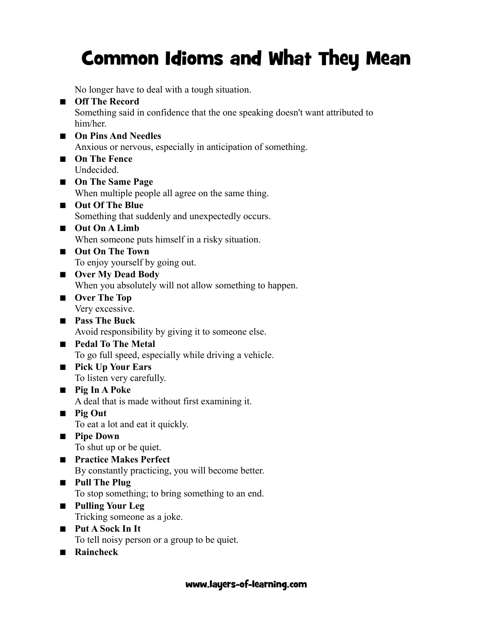No longer have to deal with a tough situation.

- Off The Record Something said in confidence that the one speaking doesn't want attributed to him/her.
- **On Pins And Needles** Anxious or nervous, especially in anticipation of something.
- On The Fence Undecided.
- **On The Same Page**  When multiple people all agree on the same thing.
- Out Of The Blue Something that suddenly and unexpectedly occurs.
- Out On A Limb When someone puts himself in a risky situation.
- Out On The Town To enjoy yourself by going out.
- $\blacksquare$  Over My Dead Body When you absolutely will not allow something to happen.
- **Over The Top** Very excessive.
- **Pass The Buck** Avoid responsibility by giving it to someone else.
- **Pedal To The Metal** To go full speed, especially while driving a vehicle.
- **Pick Up Your Ears** To listen very carefully.
- **Pig In A Poke**  A deal that is made without first examining it.
- Pig Out To eat a lot and eat it quickly.
- **Pipe Down** To shut up or be quiet.
- **Practice Makes Perfect** By constantly practicing, you will become better.
- **Pull The Plug** To stop something; to bring something to an end.
- **Pulling Your Leg** Tricking someone as a joke.
- **Put A Sock In It** To tell noisy person or a group to be quiet.
- **Raincheck**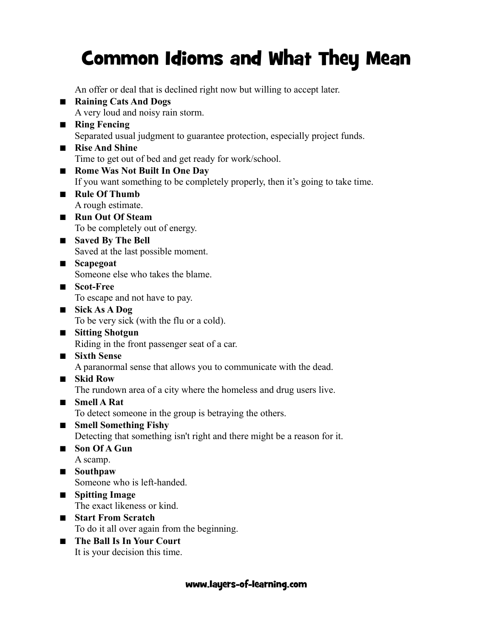An offer or deal that is declined right now but willing to accept later.

### **Raining Cats And Dogs**

A very loud and noisy rain storm.

**Ring Fencing** Separated usual judgment to guarantee protection, especially project funds.

#### ■ Rise And Shine Time to get out of bed and get ready for work/school.

- Rome Was Not Built In One Day If you want something to be completely properly, then it's going to take time.
- Rule Of Thumb A rough estimate.
- Run Out Of Steam To be completely out of energy.
- Saved By The Bell Saved at the last possible moment.
- **Scapegoat** Someone else who takes the blame.
- Scot-Free To escape and not have to pay.
- **Sick As A Dog** To be very sick (with the flu or a cold).
- **Sitting Shotgun** Riding in the front passenger seat of a car.
- **Sixth Sense**

A paranormal sense that allows you to communicate with the dead.

**Skid Row**

The rundown area of a city where the homeless and drug users live.

- **Smell A Rat** To detect someone in the group is betraying the others.
- **Smell Something Fishy** Detecting that something isn't right and there might be a reason for it.
- **Son Of A Gun** A scamp.
- Southpaw Someone who is left-handed.
- **Spitting Image** The exact likeness or kind.
- Start From Scratch To do it all over again from the beginning.
- **The Ball Is In Your Court** It is your decision this time.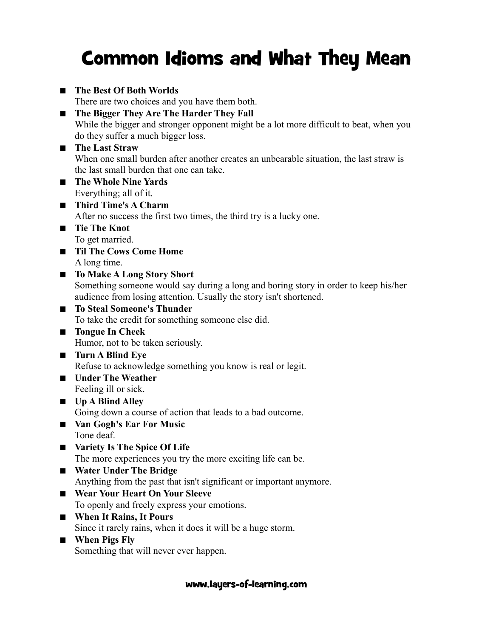### ■ The Best Of Both Worlds

There are two choices and you have them both.

■ The Bigger They Are The Harder They Fall While the bigger and stronger opponent might be a lot more difficult to beat, when you do they suffer a much bigger loss.

### **The Last Straw**

When one small burden after another creates an unbearable situation, the last straw is the last small burden that one can take.

- The Whole Nine Yards Everything; all of it.
- Third Time's **A Charm** After no success the first two times, the third try is a lucky one.
- Tie The Knot To get married.
- **Til The Cows Come Home** A long time.
- **To Make A Long Story Short** Something someone would say during a long and boring story in order to keep his/her audience from losing attention. Usually the story isn't shortened.
- To Steal Someone's Thunder To take the credit for something someone else did.
- **Tongue In Cheek** Humor, not to be taken seriously.
- **Turn A Blind Eye** Refuse to acknowledge something you know is real or legit.
- **Under The Weather** Feeling ill or sick.
- **Up A Blind Alley** Going down a course of action that leads to a bad outcome.
- **Van Gogh's Ear For Music** Tone deaf.
- **Variety Is The Spice Of Life** The more experiences you try the more exciting life can be.
- **Water Under The Bridge** Anything from the past that isn't significant or important anymore.
- **Wear Your Heart On Your Sleeve** To openly and freely express your emotions.
- **When It Rains, It Pours** Since it rarely rains, when it does it will be a huge storm.
- **When Pigs Fly** Something that will never ever happen.